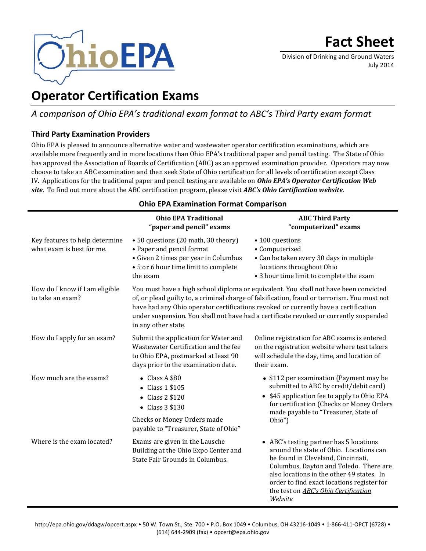

Division of Drinking and Ground Waters July 2014

# **Operator Certification Exams**

## *A comparison of Ohio EPA's traditional exam format to ABC's Third Party exam format*

### **Third Party Examination Providers**

Ohio EPA is pleased to announce alternative water and wastewater operator certification examinations, which are available more frequently and in more locations than Ohio EPA's traditional paper and pencil testing. The State of Ohio has approved the Association of Boards of Certification (ABC) as an approved examination provider. Operators may now choose to take an ABC examination and then seek State of Ohio certification for all levels of certification except Class IV. Applications for the traditional paper and pencil testing are available on *[Ohio EPA's Operator Certification Web](http://epa.ohio.gov/ddagw/opcert.aspx)  [site](http://epa.ohio.gov/ddagw/opcert.aspx)*. To find out more about the ABC certification program, please visit *[ABC's Ohio Certification website](http://www.abccert.org/Ohio_EPA/certification_process.asp)*.

#### **Ohio EPA Examination Format Comparison**

|                                                             | <b>Ohio EPA Traditional</b><br>"paper and pencil" exams                                                                                                                                                                                                                                                                                                                                     | <b>ABC Third Party</b><br>"computerized" exams                                                                                                                                                                                                                                                                   |
|-------------------------------------------------------------|---------------------------------------------------------------------------------------------------------------------------------------------------------------------------------------------------------------------------------------------------------------------------------------------------------------------------------------------------------------------------------------------|------------------------------------------------------------------------------------------------------------------------------------------------------------------------------------------------------------------------------------------------------------------------------------------------------------------|
| Key features to help determine<br>what exam is best for me. | • 50 questions (20 math, 30 theory)<br>• Paper and pencil format<br>• Given 2 times per year in Columbus<br>• 5 or 6 hour time limit to complete<br>the exam                                                                                                                                                                                                                                | • 100 questions<br>• Computerized<br>• Can be taken every 30 days in multiple<br>locations throughout Ohio<br>• 3 hour time limit to complete the exam                                                                                                                                                           |
| How do I know if I am eligible<br>to take an exam?          | You must have a high school diploma or equivalent. You shall not have been convicted<br>of, or plead guilty to, a criminal charge of falsification, fraud or terrorism. You must not<br>have had any Ohio operator certifications revoked or currently have a certification<br>under suspension. You shall not have had a certificate revoked or currently suspended<br>in any other state. |                                                                                                                                                                                                                                                                                                                  |
| How do I apply for an exam?                                 | Submit the application for Water and<br>Wastewater Certification and the fee<br>to Ohio EPA, postmarked at least 90<br>days prior to the examination date.                                                                                                                                                                                                                                  | Online registration for ABC exams is entered<br>on the registration website where test takers<br>will schedule the day, time, and location of<br>their exam.                                                                                                                                                     |
| How much are the exams?                                     | $\bullet$ Class A \$80<br>$\bullet$ Class 1 \$105<br>$\bullet$ Class 2 \$120<br>$\bullet$ Class 3 \$130<br>Checks or Money Orders made<br>payable to "Treasurer, State of Ohio"                                                                                                                                                                                                             | • \$112 per examination (Payment may be<br>submitted to ABC by credit/debit card)<br>• \$45 application fee to apply to Ohio EPA<br>for certification (Checks or Money Orders<br>made payable to "Treasurer, State of<br>Ohio")                                                                                  |
| Where is the exam located?                                  | Exams are given in the Lausche<br>Building at the Ohio Expo Center and<br>State Fair Grounds in Columbus.                                                                                                                                                                                                                                                                                   | • ABC's testing partner has 5 locations<br>around the state of Ohio. Locations can<br>be found in Cleveland, Cincinnati,<br>Columbus, Dayton and Toledo. There are<br>also locations in the other 49 states. In<br>order to find exact locations register for<br>the test on ABC's Ohio Certification<br>Website |